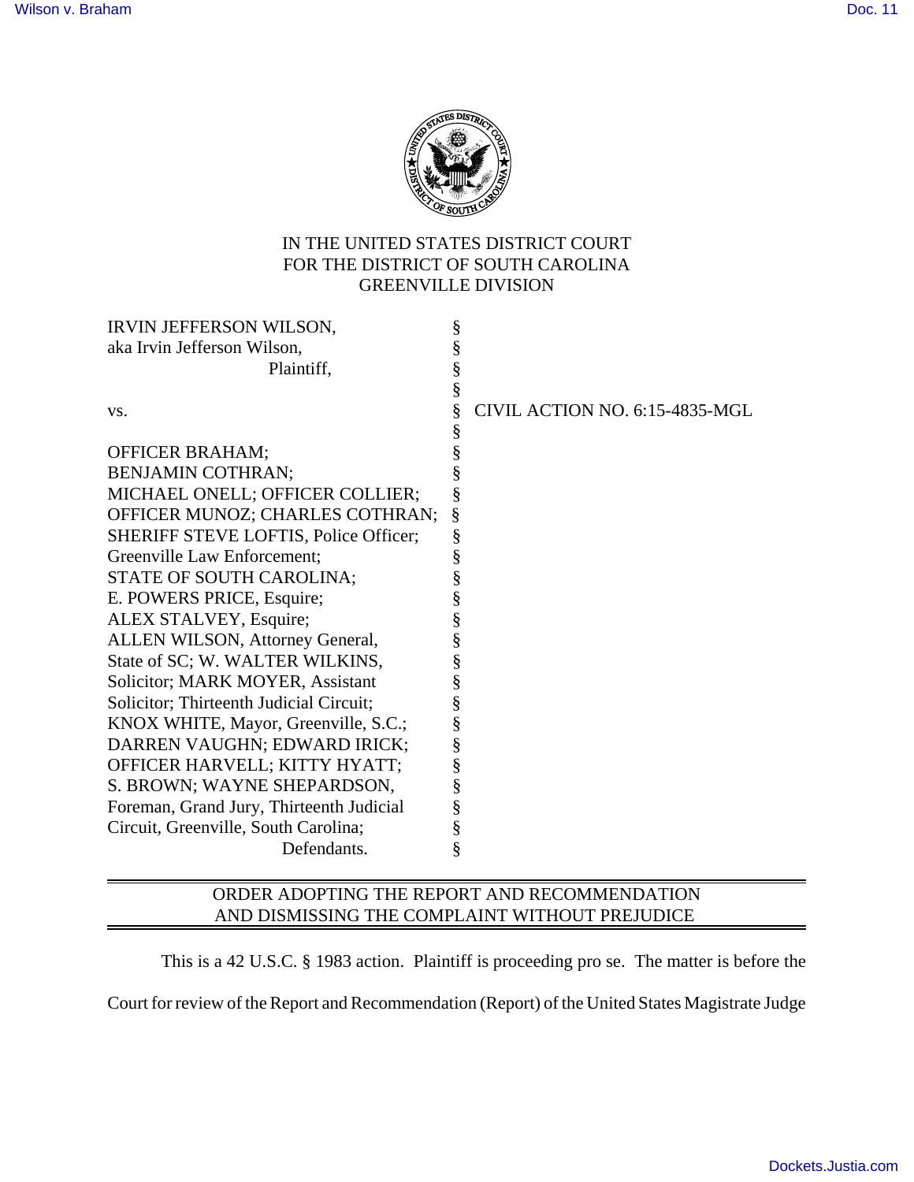

## IN THE UNITED STATES DISTRICT COURT FOR THE DISTRICT OF SOUTH CAROLINA GREENVILLE DIVISION

| IRVIN JEFFERSON WILSON,                  | § |                                |
|------------------------------------------|---|--------------------------------|
| aka Irvin Jefferson Wilson,              | § |                                |
| Plaintiff,                               | § |                                |
|                                          | § |                                |
| VS.                                      | § | CIVIL ACTION NO. 6:15-4835-MGL |
|                                          | § |                                |
| <b>OFFICER BRAHAM;</b>                   | § |                                |
| <b>BENJAMIN COTHRAN;</b>                 | § |                                |
| MICHAEL ONELL; OFFICER COLLIER;          | § |                                |
| OFFICER MUNOZ; CHARLES COTHRAN;          | § |                                |
| SHERIFF STEVE LOFTIS, Police Officer;    | § |                                |
| Greenville Law Enforcement;              | § |                                |
| STATE OF SOUTH CAROLINA;                 | § |                                |
| E. POWERS PRICE, Esquire;                | § |                                |
| ALEX STALVEY, Esquire;                   | § |                                |
| ALLEN WILSON, Attorney General,          | § |                                |
| State of SC; W. WALTER WILKINS,          | § |                                |
| Solicitor; MARK MOYER, Assistant         | § |                                |
| Solicitor; Thirteenth Judicial Circuit;  | § |                                |
| KNOX WHITE, Mayor, Greenville, S.C.;     | § |                                |
| DARREN VAUGHN; EDWARD IRICK;             | § |                                |
| OFFICER HARVELL; KITTY HYATT;            | § |                                |
| S. BROWN; WAYNE SHEPARDSON,              | § |                                |
| Foreman, Grand Jury, Thirteenth Judicial | § |                                |
| Circuit, Greenville, South Carolina;     | § |                                |
| Defendants.                              | § |                                |
|                                          |   |                                |

## ORDER ADOPTING THE REPORT AND RECOMMENDATION AND DISMISSING THE COMPLAINT WITHOUT PREJUDICE

This is a 42 U.S.C. § 1983 action. Plaintiff is proceeding pro se. The matter is before the Court for review of the Report and Recommendation (Report) of the United States Magistrate Judge